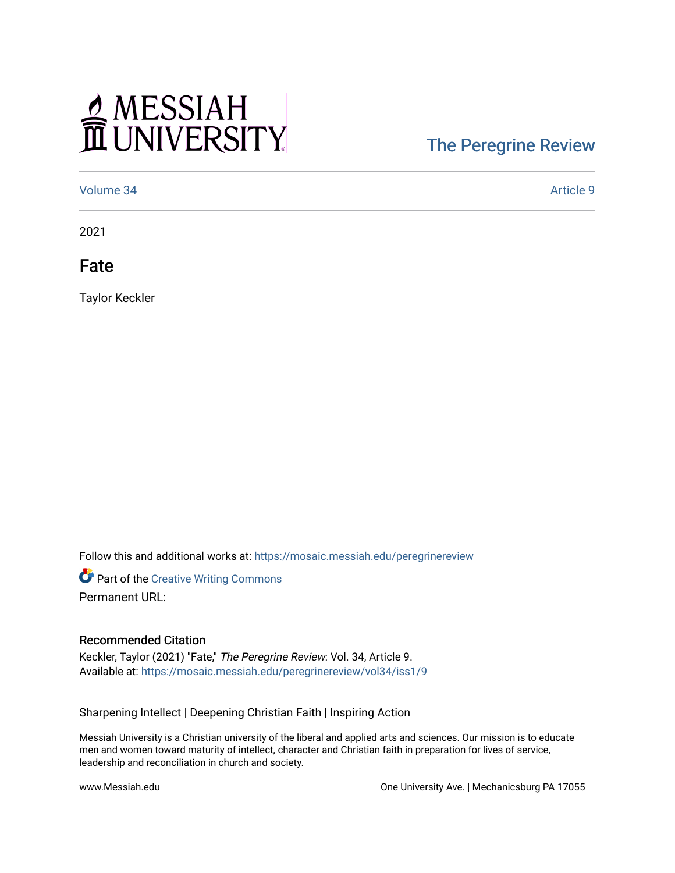## MESSIAH

## [The Peregrine Review](https://mosaic.messiah.edu/peregrinereview)

[Volume 34](https://mosaic.messiah.edu/peregrinereview/vol34) [Article 9](https://mosaic.messiah.edu/peregrinereview/vol34/iss1/9) 

2021

Fate

Taylor Keckler

Follow this and additional works at: [https://mosaic.messiah.edu/peregrinereview](https://mosaic.messiah.edu/peregrinereview?utm_source=mosaic.messiah.edu%2Fperegrinereview%2Fvol34%2Fiss1%2F9&utm_medium=PDF&utm_campaign=PDFCoverPages) 

Part of the [Creative Writing Commons](http://network.bepress.com/hgg/discipline/574?utm_source=mosaic.messiah.edu%2Fperegrinereview%2Fvol34%2Fiss1%2F9&utm_medium=PDF&utm_campaign=PDFCoverPages)  Permanent URL:

## Recommended Citation

Keckler, Taylor (2021) "Fate," The Peregrine Review: Vol. 34, Article 9. Available at: [https://mosaic.messiah.edu/peregrinereview/vol34/iss1/9](https://mosaic.messiah.edu/peregrinereview/vol34/iss1/9?utm_source=mosaic.messiah.edu%2Fperegrinereview%2Fvol34%2Fiss1%2F9&utm_medium=PDF&utm_campaign=PDFCoverPages) 

Sharpening Intellect | Deepening Christian Faith | Inspiring Action

Messiah University is a Christian university of the liberal and applied arts and sciences. Our mission is to educate men and women toward maturity of intellect, character and Christian faith in preparation for lives of service, leadership and reconciliation in church and society.

www.Messiah.edu **One University Ave. | Mechanicsburg PA 17055**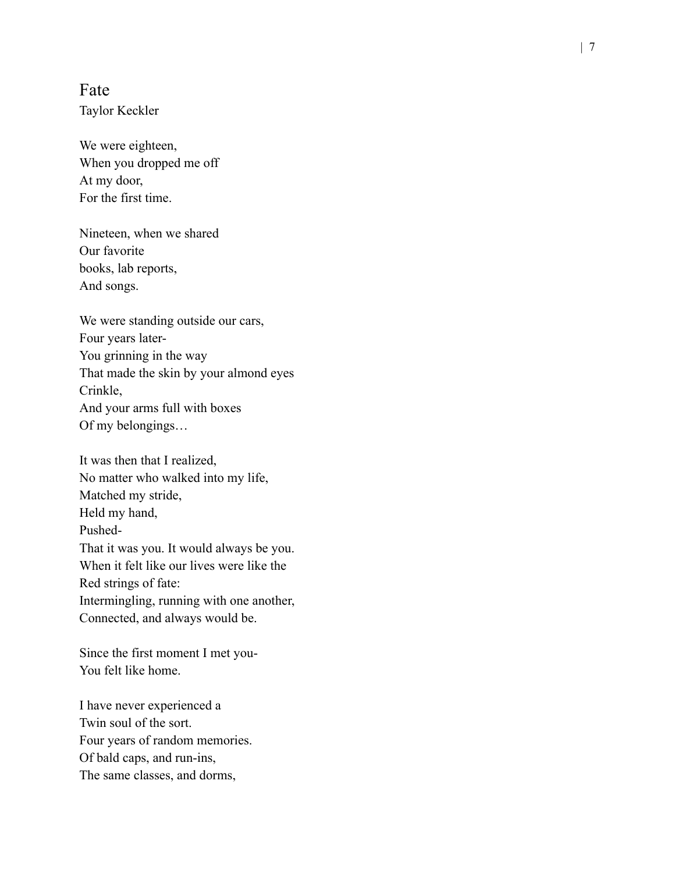Fate Taylor Keckler

We were eighteen, When you dropped me off At my door , For the first time.

Nineteen, when we shared Our favorite books, lab reports, And songs.

We were standing outside our cars, Four years later - You grinning in the way That made the skin by your almond eyes Crinkle, And your arms full with boxes Of my belongings…

It was then that I realized, No matter who walked into my life, Matched my stride, Held my hand, Pushed-That it was you. It would always be you. When it felt like our lives were like the Red strings of fate: Intermingling, running with one another , Connected, and always would be.

Since the first moment I met you- You felt like home.

I have never experienced a Twin soul of the sort. Four years of random memories. Of bald caps, and run-ins, The same classes, and dorms,